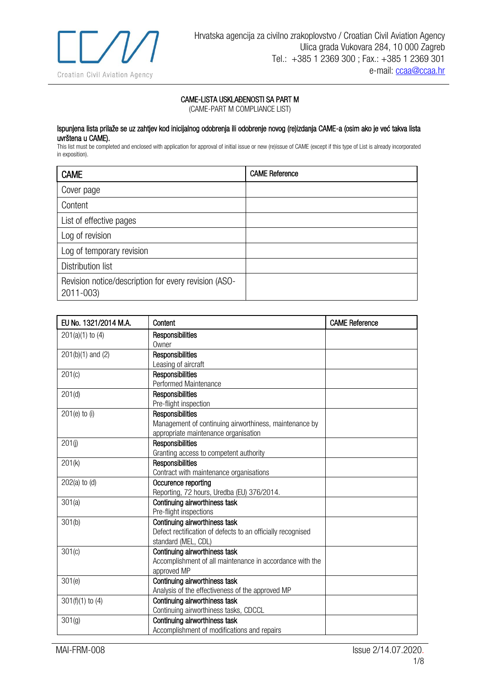

## CAME-LISTA USKLAĐENOSTI SA PART M

(CAME-PART M COMPLIANCE LIST)

## Ispunjena lista prilaže se uz zahtjev kod inicijalnog odobrenja ili odobrenje novog (re)izdanja CAME-a (osim ako je već takva lista uvrštena u CAME).

This list must be completed and enclosed with application for approval of initial issue or new (re)issue of CAME (except if this type of List is already incorporated in exposition).

| <b>CAME</b>                                                       | <b>CAME Reference</b> |
|-------------------------------------------------------------------|-----------------------|
| Cover page                                                        |                       |
| Content                                                           |                       |
| List of effective pages                                           |                       |
| Log of revision                                                   |                       |
| Log of temporary revision                                         |                       |
| <b>Distribution list</b>                                          |                       |
| Revision notice/description for every revision (ASO-<br>2011-003) |                       |

| EU No. 1321/2014 M.A. | Content                                                     | <b>CAME Reference</b> |
|-----------------------|-------------------------------------------------------------|-----------------------|
| $201(a)(1)$ to $(4)$  | Responsibilities                                            |                       |
|                       | Owner                                                       |                       |
| $201(b)(1)$ and $(2)$ | Responsibilities                                            |                       |
|                       | Leasing of aircraft                                         |                       |
| 201(c)                | Responsibilities                                            |                       |
|                       | Performed Maintenance                                       |                       |
| 201(d)                | Responsibilities                                            |                       |
|                       | Pre-flight inspection                                       |                       |
| $201(e)$ to (i)       | <b>Responsibilities</b>                                     |                       |
|                       | Management of continuing airworthiness, maintenance by      |                       |
|                       | appropriate maintenance organisation                        |                       |
| 201(i)                | Responsibilities                                            |                       |
|                       | Granting access to competent authority                      |                       |
| 201(k)                | Responsibilities                                            |                       |
|                       | Contract with maintenance organisations                     |                       |
| $202(a)$ to $(d)$     | Occurence reporting                                         |                       |
|                       | Reporting, 72 hours, Uredba (EU) 376/2014.                  |                       |
| 301(a)                | Continuing airworthiness task                               |                       |
|                       | Pre-flight inspections                                      |                       |
| 301(b)                | Continuing airworthiness task                               |                       |
|                       | Defect rectification of defects to an officially recognised |                       |
|                       | standard (MEL, CDL)                                         |                       |
| 301(c)                | Continuing airworthiness task                               |                       |
|                       | Accomplishment of all maintenance in accordance with the    |                       |
|                       | approved MP                                                 |                       |
| 301(e)                | Continuing airworthiness task                               |                       |
|                       | Analysis of the effectiveness of the approved MP            |                       |
| $301(f)(1)$ to (4)    | Continuing airworthiness task                               |                       |
|                       | Continuing airworthiness tasks, CDCCL                       |                       |
| 301 <sub>(g)</sub>    | Continuing airworthiness task                               |                       |
|                       | Accomplishment of modifications and repairs                 |                       |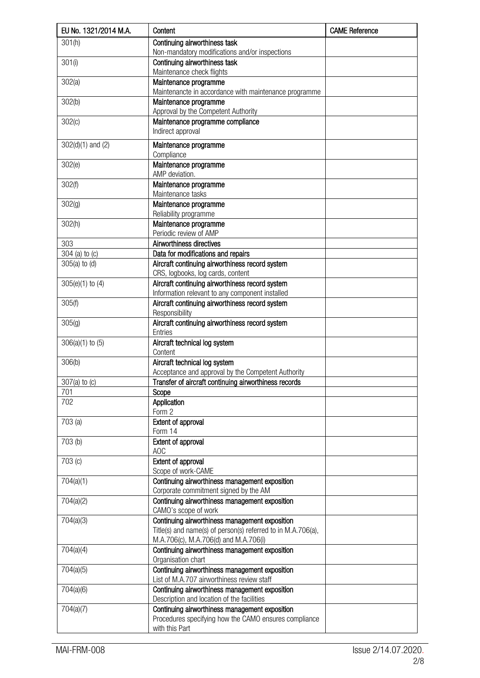| EU No. 1321/2014 M.A. | Content                                                                                            | <b>CAME Reference</b> |
|-----------------------|----------------------------------------------------------------------------------------------------|-----------------------|
| 301(h)                | Continuing airworthiness task<br>Non-mandatory modifications and/or inspections                    |                       |
| 301(i)                | Continuing airworthiness task                                                                      |                       |
|                       | Maintenance check flights                                                                          |                       |
| 302(a)                | Maintenance programme                                                                              |                       |
| 302(b)                | Maintenancte in accordance with maintenance programme<br>Maintenance programme                     |                       |
|                       | Approval by the Competent Authority                                                                |                       |
| 302(c)                | Maintenance programme compliance                                                                   |                       |
|                       | Indirect approval                                                                                  |                       |
| $302(d)(1)$ and (2)   | Maintenance programme                                                                              |                       |
| 302(e)                | Compliance<br>Maintenance programme                                                                |                       |
|                       | AMP deviation.                                                                                     |                       |
| 302(f)                | Maintenance programme                                                                              |                       |
|                       | Maintenance tasks                                                                                  |                       |
| 302(q)                | Maintenance programme<br>Reliability programme                                                     |                       |
| 302(h)                | Maintenance programme                                                                              |                       |
|                       | Periodic review of AMP                                                                             |                       |
| 303                   | Airworthiness directives                                                                           |                       |
| 304 (a) to (c)        | Data for modifications and repairs                                                                 |                       |
| $305(a)$ to $(d)$     | Aircraft continuing airworthiness record system                                                    |                       |
|                       | CRS, logbooks, log cards, content                                                                  |                       |
| $305(e)(1)$ to $(4)$  | Aircraft continuing airworthiness record system<br>Information relevant to any component installed |                       |
| 305(f)                | Aircraft continuing airworthiness record system                                                    |                       |
|                       | Responsibility                                                                                     |                       |
| 305(g)                | Aircraft continuing airworthiness record system                                                    |                       |
|                       | Entries                                                                                            |                       |
| $306(a)(1)$ to $(5)$  | Aircraft technical log system<br>Content                                                           |                       |
| 306(b)                | Aircraft technical log system                                                                      |                       |
|                       | Acceptance and approval by the Competent Authority                                                 |                       |
| $307(a)$ to $(c)$     | Transfer of aircraft continuing airworthiness records                                              |                       |
| 701                   | Scope                                                                                              |                       |
| 702                   | Application<br>Form 2                                                                              |                       |
| 703(a)                | Extent of approval                                                                                 |                       |
|                       | Form 14                                                                                            |                       |
| 703 (b)               | <b>Extent of approval</b><br>AOC                                                                   |                       |
| 703 (c)               | Extent of approval                                                                                 |                       |
|                       | Scope of work-CAME                                                                                 |                       |
| 704(a)(1)             | Continuing airworthiness management exposition                                                     |                       |
|                       | Corporate commitment signed by the AM                                                              |                       |
| 704(a)(2)             | Continuing airworthiness management exposition                                                     |                       |
| 704(a)(3)             | CAMO's scope of work<br>Continuing airworthiness management exposition                             |                       |
|                       | Title(s) and name(s) of person(s) referred to in M.A.706(a),                                       |                       |
|                       | M.A.706(c), M.A.706(d) and M.A.706(i)                                                              |                       |
| 704(a)(4)             | Continuing airworthiness management exposition<br>Organisation chart                               |                       |
| 704(a)(5)             | Continuing airworthiness management exposition<br>List of M.A.707 airworthiness review staff       |                       |
| 704(a)(6)             | Continuing airworthiness management exposition                                                     |                       |
|                       | Description and location of the facilities                                                         |                       |
| 704(a)(7)             | Continuing airworthiness management exposition                                                     |                       |
|                       | Procedures specifying how the CAMO ensures compliance                                              |                       |
|                       | with this Part                                                                                     |                       |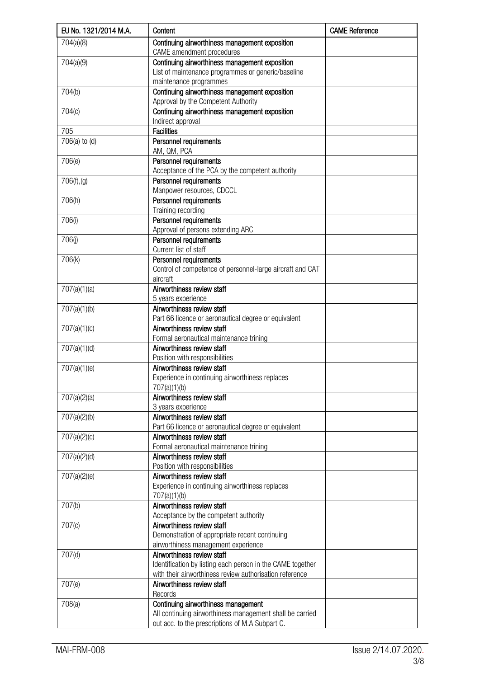| EU No. 1321/2014 M.A. | Content                                                                     | <b>CAME Reference</b> |
|-----------------------|-----------------------------------------------------------------------------|-----------------------|
| 704(a)(8)             | Continuing airworthiness management exposition<br>CAME amendment procedures |                       |
| 704(a)(9)             | Continuing airworthiness management exposition                              |                       |
|                       | List of maintenance programmes or generic/baseline                          |                       |
|                       | maintenance programmes                                                      |                       |
| 704(b)                | Continuing airworthiness management exposition                              |                       |
|                       | Approval by the Competent Authority                                         |                       |
| 704(c)                | Continuing airworthiness management exposition                              |                       |
|                       | Indirect approval                                                           |                       |
| 705                   | <b>Facilities</b>                                                           |                       |
| 706(a) to (d)         | Personnel requirements                                                      |                       |
|                       | AM, QM, PCA                                                                 |                       |
| 706(e)                | Personnel requirements                                                      |                       |
|                       | Acceptance of the PCA by the competent authority                            |                       |
| 706(f), (g)           | Personnel requirements                                                      |                       |
|                       | Manpower resources, CDCCL                                                   |                       |
| 706(h)                | Personnel requirements                                                      |                       |
|                       | Training recording                                                          |                       |
| 706(i)                | Personnel requirements                                                      |                       |
|                       | Approval of persons extending ARC                                           |                       |
| 706(i)                | Personnel requirements                                                      |                       |
|                       | Current list of staff                                                       |                       |
| 706(k)                | Personnel requirements                                                      |                       |
|                       | Control of competence of personnel-large aircraft and CAT                   |                       |
|                       | aircraft                                                                    |                       |
| 707(a)(1)(a)          | Airworthiness review staff                                                  |                       |
|                       | 5 years experience                                                          |                       |
| 707(a)(1)(b)          | Airworthiness review staff                                                  |                       |
|                       | Part 66 licence or aeronautical degree or equivalent                        |                       |
| 707(a)(1)(c)          | Airworthiness review staff                                                  |                       |
|                       | Formal aeronautical maintenance trining                                     |                       |
| 707(a)(1)(d)          | Airworthiness review staff                                                  |                       |
|                       | Position with responsibilities                                              |                       |
| 707(a)(1)(e)          | Airworthiness review staff                                                  |                       |
|                       | Experience in continuing airworthiness replaces                             |                       |
|                       | 707(a)(1)(b)                                                                |                       |
| 707(a)(2)(a)          | Airworthiness review staff                                                  |                       |
|                       | 3 years experience                                                          |                       |
| 707(a)(2)(b)          | Airworthiness review staff                                                  |                       |
|                       | Part 66 licence or aeronautical degree or equivalent                        |                       |
| 707(a)(2)(c)          | Airworthiness review staff                                                  |                       |
|                       | Formal aeronautical maintenance trining                                     |                       |
| 707(a)(2)(d)          | Airworthiness review staff                                                  |                       |
|                       | Position with responsibilities                                              |                       |
| 707(a)(2)(e)          | Airworthiness review staff                                                  |                       |
|                       | Experience in continuing airworthiness replaces                             |                       |
|                       | 707(a)(1)(b)                                                                |                       |
| 707(b)                | Airworthiness review staff                                                  |                       |
|                       | Acceptance by the competent authority                                       |                       |
| 707(c)                | Airworthiness review staff                                                  |                       |
|                       | Demonstration of appropriate recent continuing                              |                       |
|                       | airworthiness management experience                                         |                       |
| 707(d)                | Airworthiness review staff                                                  |                       |
|                       | Identification by listing each person in the CAME together                  |                       |
|                       | with their airworthiness review authorisation reference                     |                       |
| 707(e)                | Airworthiness review staff                                                  |                       |
|                       | Records                                                                     |                       |
| 708(a)                | Continuing airworthiness management                                         |                       |
|                       | All continuing airworthiness management shall be carried                    |                       |
|                       | out acc. to the prescriptions of M.A Subpart C.                             |                       |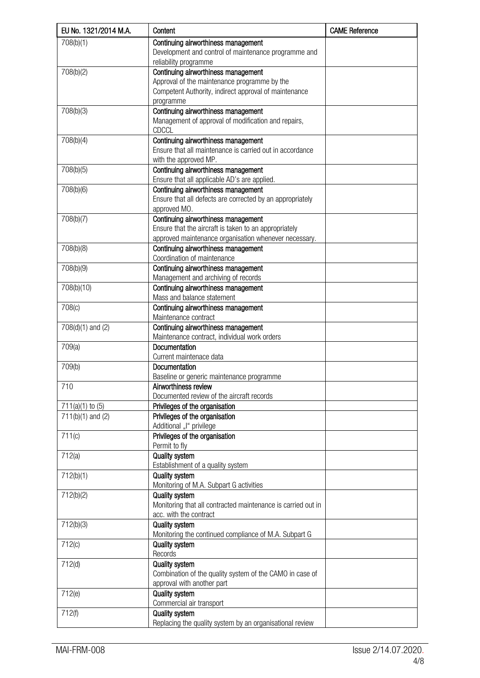| EU No. 1321/2014 M.A. | Content                                                             | <b>CAME Reference</b> |
|-----------------------|---------------------------------------------------------------------|-----------------------|
| 708(b)(1)             | Continuing airworthiness management                                 |                       |
|                       | Development and control of maintenance programme and                |                       |
|                       | reliability programme                                               |                       |
| 708(b)(2)             | Continuing airworthiness management                                 |                       |
|                       | Approval of the maintenance programme by the                        |                       |
|                       | Competent Authority, indirect approval of maintenance               |                       |
|                       | programme                                                           |                       |
| 708(b)(3)             | Continuing airworthiness management                                 |                       |
|                       | Management of approval of modification and repairs,<br><b>CDCCL</b> |                       |
| 708(b)(4)             | Continuing airworthiness management                                 |                       |
|                       | Ensure that all maintenance is carried out in accordance            |                       |
|                       | with the approved MP.                                               |                       |
| 708(b)(5)             | Continuing airworthiness management                                 |                       |
|                       | Ensure that all applicable AD's are applied.                        |                       |
| 708(b)(6)             | Continuing airworthiness management                                 |                       |
|                       | Ensure that all defects are corrected by an appropriately           |                       |
|                       | approved MO.                                                        |                       |
| 708(b)(7)             | Continuing airworthiness management                                 |                       |
|                       | Ensure that the aircraft is taken to an appropriately               |                       |
|                       | approved maintenance organisation whenever necessary.               |                       |
| 708(b)(8)             | Continuing airworthiness management                                 |                       |
|                       | Coordination of maintenance                                         |                       |
| 708(b)(9)             | Continuing airworthiness management                                 |                       |
|                       | Management and archiving of records                                 |                       |
| 708(b)(10)            | Continuing airworthiness management                                 |                       |
|                       | Mass and balance statement                                          |                       |
| 708(c)                | Continuing airworthiness management                                 |                       |
|                       | Maintenance contract                                                |                       |
| 708(d)(1) and (2)     | Continuing airworthiness management                                 |                       |
|                       | Maintenance contract, individual work orders                        |                       |
| 709(a)                | Documentation                                                       |                       |
|                       | Current maintenace data<br>Documentation                            |                       |
| 709(b)                | Baseline or generic maintenance programme                           |                       |
| 710                   | Airworthiness review                                                |                       |
|                       | Documented review of the aircraft records                           |                       |
| $711(a)(1)$ to $(5)$  | Privileges of the organisation                                      |                       |
| $711(b)(1)$ and (2)   | Privileges of the organisation                                      |                       |
|                       | Additional "I" privilege                                            |                       |
| 711(c)                | Privileges of the organisation                                      |                       |
|                       | Permit to fly                                                       |                       |
| 712(a)                | <b>Quality system</b>                                               |                       |
|                       | Establishment of a quality system                                   |                       |
| 712(b)(1)             | <b>Quality system</b>                                               |                       |
|                       | Monitoring of M.A. Subpart G activities                             |                       |
| 712(b)(2)             | <b>Quality system</b>                                               |                       |
|                       | Monitoring that all contracted maintenance is carried out in        |                       |
|                       | acc. with the contract                                              |                       |
| 712(b)(3)             | <b>Quality system</b>                                               |                       |
|                       | Monitoring the continued compliance of M.A. Subpart G               |                       |
| 712(c)                | <b>Quality system</b><br>Records                                    |                       |
| 712(d)                | <b>Quality system</b>                                               |                       |
|                       | Combination of the quality system of the CAMO in case of            |                       |
|                       | approval with another part                                          |                       |
| 712(e)                | <b>Quality system</b>                                               |                       |
|                       | Commercial air transport                                            |                       |
| 712(f)                | <b>Quality system</b>                                               |                       |
|                       | Replacing the quality system by an organisational review            |                       |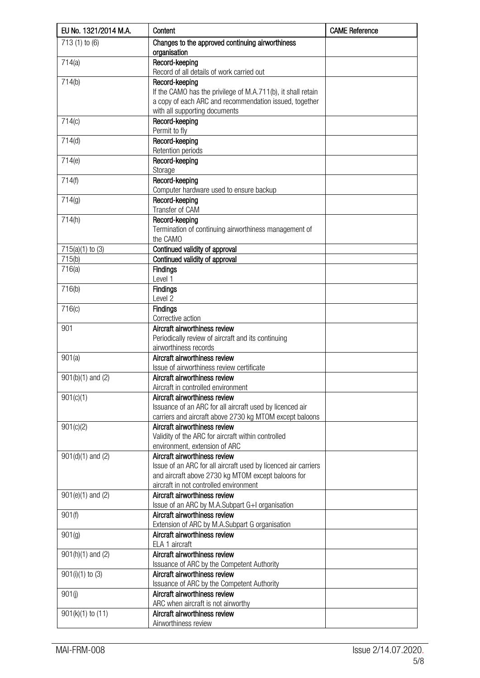| EU No. 1321/2014 M.A. | Content                                                                                                                                  | <b>CAME Reference</b> |
|-----------------------|------------------------------------------------------------------------------------------------------------------------------------------|-----------------------|
| 713 (1) to (6)        | Changes to the approved continuing airworthiness<br>organisation                                                                         |                       |
| 714(a)                | Record-keeping<br>Record of all details of work carried out                                                                              |                       |
| 714(b)                | Record-keeping<br>If the CAMO has the privilege of M.A.711(b), it shall retain<br>a copy of each ARC and recommendation issued, together |                       |
| 714(c)                | with all supporting documents<br>Record-keeping                                                                                          |                       |
|                       | Permit to fly                                                                                                                            |                       |
| 714(d)                | Record-keeping<br>Retention periods                                                                                                      |                       |
| 714(e)                | Record-keeping<br>Storage                                                                                                                |                       |
| 714(f)                | Record-keeping<br>Computer hardware used to ensure backup                                                                                |                       |
| 714(g)                | Record-keeping<br>Transfer of CAM                                                                                                        |                       |
| 714(h)                | Record-keeping<br>Termination of continuing airworthiness management of                                                                  |                       |
|                       | the CAMO                                                                                                                                 |                       |
| $715(a)(1)$ to $(3)$  | Continued validity of approval                                                                                                           |                       |
| 715(b)                | Continued validity of approval                                                                                                           |                       |
| 716(a)                | <b>Findings</b><br>Level 1                                                                                                               |                       |
| 716(b)                | <b>Findings</b><br>Level 2                                                                                                               |                       |
| 716(c)                | Findings<br>Corrective action                                                                                                            |                       |
| 901                   | Aircraft airworthiness review                                                                                                            |                       |
|                       | Periodically review of aircraft and its continuing<br>airworthiness records                                                              |                       |
| 901(a)                | Aircraft airworthiness review<br>Issue of airworthiness review certificate                                                               |                       |
| $901(b)(1)$ and (2)   | Aircraft airworthiness review                                                                                                            |                       |
|                       | Aircraft in controlled environment                                                                                                       |                       |
| 901(c)(1)             | Aircraft airworthiness review<br>Issuance of an ARC for all aircraft used by licenced air                                                |                       |
|                       | carriers and aircraft above 2730 kg MTOM except baloons<br>Aircraft airworthiness review                                                 |                       |
| 901(c)(2)             | Validity of the ARC for aircraft within controlled                                                                                       |                       |
|                       | environment, extension of ARC                                                                                                            |                       |
| $901(d)(1)$ and (2)   | Aircraft airworthiness review                                                                                                            |                       |
|                       | Issue of an ARC for all aircraft used by licenced air carriers                                                                           |                       |
|                       | and aircraft above 2730 kg MTOM except baloons for<br>aircraft in not controlled environment                                             |                       |
| $901(e)(1)$ and $(2)$ | Aircraft airworthiness review                                                                                                            |                       |
|                       | Issue of an ARC by M.A.Subpart G+I organisation                                                                                          |                       |
| 901(f)                | Aircraft airworthiness review                                                                                                            |                       |
|                       | Extension of ARC by M.A.Subpart G organisation                                                                                           |                       |
| 901(g)                | Aircraft airworthiness review<br>ELA 1 aircraft                                                                                          |                       |
| $901(h)(1)$ and $(2)$ | Aircraft airworthiness review                                                                                                            |                       |
| $901(i)(1)$ to $(3)$  | Issuance of ARC by the Competent Authority<br>Aircraft airworthiness review                                                              |                       |
|                       | Issuance of ARC by the Competent Authority                                                                                               |                       |
| 901(j)                | Aircraft airworthiness review                                                                                                            |                       |
|                       | ARC when aircraft is not airworthy                                                                                                       |                       |
| $901(k)(1)$ to $(11)$ | Aircraft airworthiness review                                                                                                            |                       |
|                       | Airworthiness review                                                                                                                     |                       |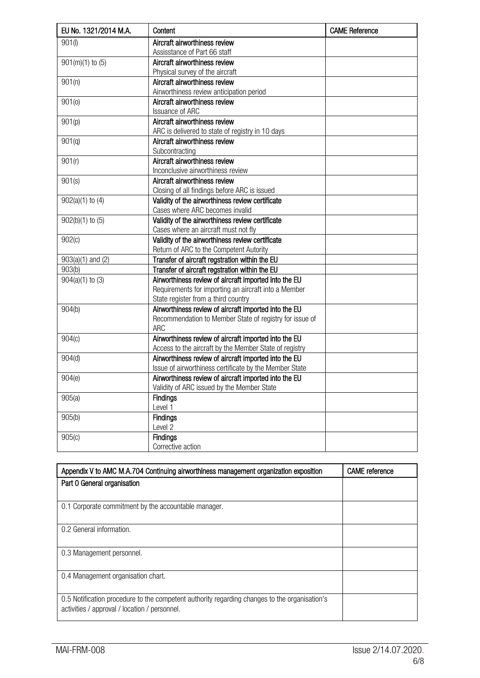| EU No. 1321/2014 M.A. | Content                                                 | <b>CAME Reference</b> |
|-----------------------|---------------------------------------------------------|-----------------------|
| 901(1)                | Aircraft airworthiness review                           |                       |
|                       | Assisstance of Part 66 staff                            |                       |
| $901(m)(1)$ to $(5)$  | Aircraft airworthiness review                           |                       |
|                       | Physical survey of the aircraft                         |                       |
| 901(n)                | Aircraft airworthiness review                           |                       |
|                       | Airworthiness review anticipation period                |                       |
| 901(0)                | Aircraft airworthiness review                           |                       |
|                       | <b>Issuance of ARC</b>                                  |                       |
| $\overline{901}$ (p)  | Aircraft airworthiness review                           |                       |
|                       | ARC is delivered to state of registry in 10 days        |                       |
| 901(q)                | Aircraft airworthiness review                           |                       |
|                       | Subcontracting                                          |                       |
| 901(r)                | Aircraft airworthiness review                           |                       |
|                       | Inconclusive airworthiness review                       |                       |
| 901(s)                | Aircraft airworthiness review                           |                       |
|                       | Closing of all findings before ARC is issued            |                       |
| $902(a)(1)$ to $(4)$  | Validity of the airworthiness review certificate        |                       |
|                       | Cases where ARC becomes invalid                         |                       |
| $902(b)(1)$ to $(5)$  | Validity of the airworthiness review certificate        |                       |
|                       | Cases where an aircraft must not fly                    |                       |
| 902(c)                | Validity of the airworthiness review certificate        |                       |
|                       | Return of ARC to the Competent Autority                 |                       |
| $903(a)(1)$ and $(2)$ | Transfer of aircraft regstration within the EU          |                       |
| 903(b)                | Transfer of aircraft regstration within the EU          |                       |
| $904(a)(1)$ to $(3)$  | Airworthiness review of aircraft imported into the EU   |                       |
|                       | Requirements for importing an aircraft into a Member    |                       |
|                       | State register from a third country                     |                       |
| 904(b)                | Airworthiness review of aircraft imported into the EU   |                       |
|                       | Recommendation to Member State of registry for issue of |                       |
|                       | <b>ARC</b>                                              |                       |
| 904(c)                | Airworthiness review of aircraft imported into the EU   |                       |
|                       | Access to the aircraft by the Member State of registry  |                       |
| 904(d)                | Airworthiness review of aircraft imported into the EU   |                       |
|                       | Issue of airworthiness certificate by the Member State  |                       |
| 904(e)                | Airworthiness review of aircraft imported into the EU   |                       |
|                       | Validity of ARC issued by the Member State              |                       |
| 905(a)                | <b>Findings</b>                                         |                       |
|                       | Level 1                                                 |                       |
| 905(b)                | <b>Findings</b>                                         |                       |
|                       | Level 2                                                 |                       |
| 905(c)                | <b>Findings</b>                                         |                       |
|                       | Corrective action                                       |                       |

| Appendix V to AMC M.A.704 Continuing airworthiness management organization exposition                                                          | <b>CAME</b> reference |
|------------------------------------------------------------------------------------------------------------------------------------------------|-----------------------|
| Part 0 General organisation                                                                                                                    |                       |
| 0.1 Corporate commitment by the accountable manager.                                                                                           |                       |
| 0.2 General information.                                                                                                                       |                       |
| 0.3 Management personnel.                                                                                                                      |                       |
| 0.4 Management organisation chart.                                                                                                             |                       |
| 0.5 Notification procedure to the competent authority regarding changes to the organisation's<br>activities / approval / location / personnel. |                       |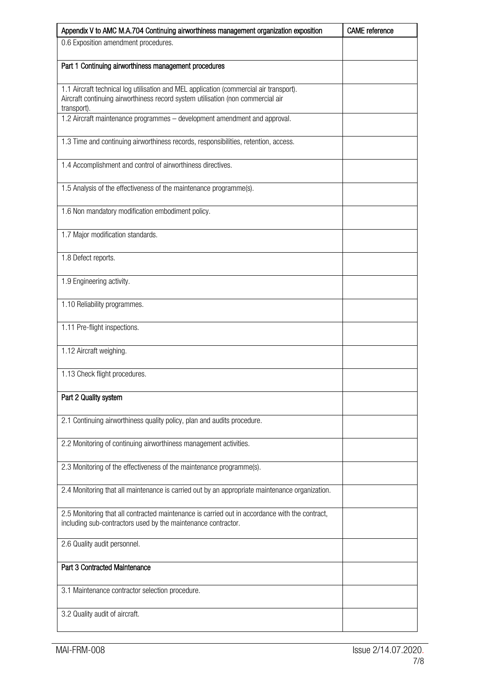| Appendix V to AMC M.A.704 Continuing airworthiness management organization exposition                                                                                                    | <b>CAME</b> reference |
|------------------------------------------------------------------------------------------------------------------------------------------------------------------------------------------|-----------------------|
| 0.6 Exposition amendment procedures.                                                                                                                                                     |                       |
| Part 1 Continuing airworthiness management procedures                                                                                                                                    |                       |
| 1.1 Aircraft technical log utilisation and MEL application (commercial air transport).<br>Aircraft continuing airworthiness record system utilisation (non commercial air<br>transport). |                       |
| 1.2 Aircraft maintenance programmes - development amendment and approval.                                                                                                                |                       |
| 1.3 Time and continuing airworthiness records, responsibilities, retention, access.                                                                                                      |                       |
| 1.4 Accomplishment and control of airworthiness directives.                                                                                                                              |                       |
| 1.5 Analysis of the effectiveness of the maintenance programme(s).                                                                                                                       |                       |
| 1.6 Non mandatory modification embodiment policy.                                                                                                                                        |                       |
| 1.7 Major modification standards.                                                                                                                                                        |                       |
| 1.8 Defect reports.                                                                                                                                                                      |                       |
| 1.9 Engineering activity.                                                                                                                                                                |                       |
| 1.10 Reliability programmes.                                                                                                                                                             |                       |
| 1.11 Pre-flight inspections.                                                                                                                                                             |                       |
| 1.12 Aircraft weighing.                                                                                                                                                                  |                       |
| 1.13 Check flight procedures.                                                                                                                                                            |                       |
| Part 2 Quality system                                                                                                                                                                    |                       |
| 2.1 Continuing airworthiness quality policy, plan and audits procedure.                                                                                                                  |                       |
| 2.2 Monitoring of continuing airworthiness management activities.                                                                                                                        |                       |
| 2.3 Monitoring of the effectiveness of the maintenance programme(s).                                                                                                                     |                       |
| 2.4 Monitoring that all maintenance is carried out by an appropriate maintenance organization.                                                                                           |                       |
| 2.5 Monitoring that all contracted maintenance is carried out in accordance with the contract,<br>including sub-contractors used by the maintenance contractor.                          |                       |
| 2.6 Quality audit personnel.                                                                                                                                                             |                       |
| Part 3 Contracted Maintenance                                                                                                                                                            |                       |
| 3.1 Maintenance contractor selection procedure.                                                                                                                                          |                       |
| 3.2 Quality audit of aircraft.                                                                                                                                                           |                       |